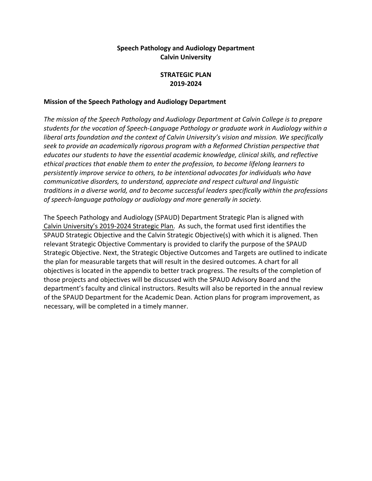## **Speech Pathology and Audiology Department Calvin University**

#### **STRATEGIC PLAN 2019-2024**

#### **Mission of the Speech Pathology and Audiology Department**

*The mission of the Speech Pathology and Audiology Department at Calvin College is to prepare students for the vocation of Speech-Language Pathology or graduate work in Audiology within a liberal arts foundation and the context of Calvin University's vision and mission. We specifically seek to provide an academically rigorous program with a Reformed Christian perspective that educates our students to have the essential academic knowledge, clinical skills, and reflective ethical practices that enable them to enter the profession, to become lifelong learners to persistently improve service to others, to be intentional advocates for individuals who have communicative disorders, to understand, appreciate and respect cultural and linguistic traditions in a diverse world, and to become successful leaders specifically within the professions of speech-language pathology or audiology and more generally in society.* 

The Speech Pathology and Audiology (SPAUD) Department Strategic Plan is aligned with [Calvin University's 2019-2024 Strategic Plan.](https://calvin.edu/vision2030/strategic-plan/) As such, the format used first identifies the SPAUD Strategic Objective and the Calvin Strategic Objective(s) with which it is aligned. Then relevant Strategic Objective Commentary is provided to clarify the purpose of the SPAUD Strategic Objective. Next, the Strategic Objective Outcomes and Targets are outlined to indicate the plan for measurable targets that will result in the desired outcomes. A chart for all objectives is located in the appendix to better track progress. The results of the completion of those projects and objectives will be discussed with the SPAUD Advisory Board and the department's faculty and clinical instructors. Results will also be reported in the annual review of the SPAUD Department for the Academic Dean. Action plans for program improvement, as necessary, will be completed in a timely manner.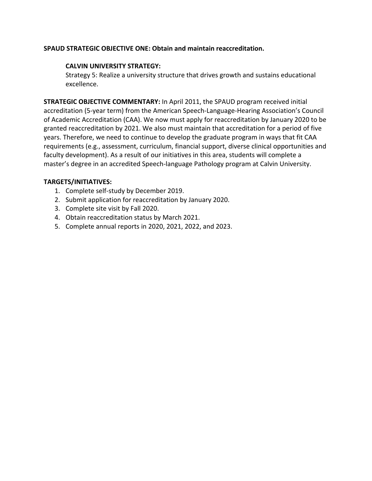#### **SPAUD STRATEGIC OBJECTIVE ONE: Obtain and maintain reaccreditation.**

#### **CALVIN UNIVERSITY STRATEGY:**

Strategy 5: Realize a university structure that drives growth and sustains educational excellence.

**STRATEGIC OBJECTIVE COMMENTARY:** In April 2011, the SPAUD program received initial accreditation (5-year term) from the American Speech-Language-Hearing Association's Council of Academic Accreditation (CAA). We now must apply for reaccreditation by January 2020 to be granted reaccreditation by 2021. We also must maintain that accreditation for a period of five years. Therefore, we need to continue to develop the graduate program in ways that fit CAA requirements (e.g., assessment, curriculum, financial support, diverse clinical opportunities and faculty development). As a result of our initiatives in this area, students will complete a master's degree in an accredited Speech-language Pathology program at Calvin University.

- 1. Complete self-study by December 2019.
- 2. Submit application for reaccreditation by January 2020.
- 3. Complete site visit by Fall 2020.
- 4. Obtain reaccreditation status by March 2021.
- 5. Complete annual reports in 2020, 2021, 2022, and 2023.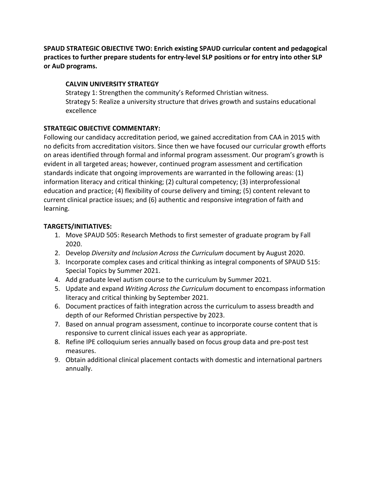**SPAUD STRATEGIC OBJECTIVE TWO: Enrich existing SPAUD curricular content and pedagogical practices to further prepare students for entry-level SLP positions or for entry into other SLP or AuD programs.** 

#### **CALVIN UNIVERSITY STRATEGY**

Strategy 1: Strengthen the community's Reformed Christian witness. Strategy 5: Realize a university structure that drives growth and sustains educational excellence

#### **STRATEGIC OBJECTIVE COMMENTARY:**

Following our candidacy accreditation period, we gained accreditation from CAA in 2015 with no deficits from accreditation visitors. Since then we have focused our curricular growth efforts on areas identified through formal and informal program assessment. Our program's growth is evident in all targeted areas; however, continued program assessment and certification standards indicate that ongoing improvements are warranted in the following areas: (1) information literacy and critical thinking; (2) cultural competency; (3) interprofessional education and practice; (4) flexibility of course delivery and timing; (5) content relevant to current clinical practice issues; and (6) authentic and responsive integration of faith and learning.

- 1. Move SPAUD 505: Research Methods to first semester of graduate program by Fall 2020.
- 2. Develop *Diversity and Inclusion Across the Curriculum* document by August 2020.
- 3. Incorporate complex cases and critical thinking as integral components of SPAUD 515: Special Topics by Summer 2021.
- 4. Add graduate level autism course to the curriculum by Summer 2021.
- 5. Update and expand *Writing Across the Curriculum* document to encompass information literacy and critical thinking by September 2021.
- 6. Document practices of faith integration across the curriculum to assess breadth and depth of our Reformed Christian perspective by 2023.
- 7. Based on annual program assessment, continue to incorporate course content that is responsive to current clinical issues each year as appropriate.
- 8. Refine IPE colloquium series annually based on focus group data and pre-post test measures.
- 9. Obtain additional clinical placement contacts with domestic and international partners annually.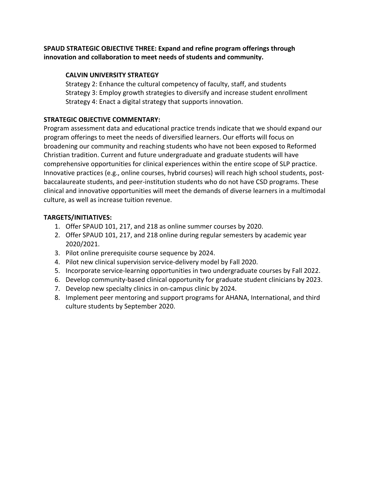## **SPAUD STRATEGIC OBJECTIVE THREE: Expand and refine program offerings through innovation and collaboration to meet needs of students and community.**

## **CALVIN UNIVERSITY STRATEGY**

Strategy 2: Enhance the cultural competency of faculty, staff, and students Strategy 3: Employ growth strategies to diversify and increase student enrollment Strategy 4: Enact a digital strategy that supports innovation.

## **STRATEGIC OBJECTIVE COMMENTARY:**

Program assessment data and educational practice trends indicate that we should expand our program offerings to meet the needs of diversified learners. Our efforts will focus on broadening our community and reaching students who have not been exposed to Reformed Christian tradition. Current and future undergraduate and graduate students will have comprehensive opportunities for clinical experiences within the entire scope of SLP practice. Innovative practices (e.g., online courses, hybrid courses) will reach high school students, postbaccalaureate students, and peer-institution students who do not have CSD programs. These clinical and innovative opportunities will meet the demands of diverse learners in a multimodal culture, as well as increase tuition revenue.

- 1. Offer SPAUD 101, 217, and 218 as online summer courses by 2020.
- 2. Offer SPAUD 101, 217, and 218 online during regular semesters by academic year 2020/2021.
- 3. Pilot online prerequisite course sequence by 2024.
- 4. Pilot new clinical supervision service-delivery model by Fall 2020.
- 5. Incorporate service-learning opportunities in two undergraduate courses by Fall 2022.
- 6. Develop community-based clinical opportunity for graduate student clinicians by 2023.
- 7. Develop new specialty clinics in on-campus clinic by 2024.
- 8. Implement peer mentoring and support programs for AHANA, International, and third culture students by September 2020.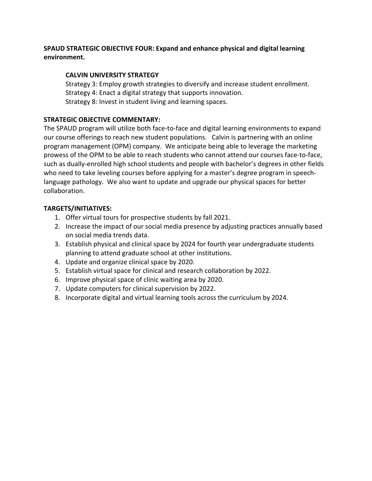## **SPAUD STRATEGIC OBJECTIVE FOUR: Expand and enhance physical and digital learning environment.**

## **CALVIN UNIVERSITY STRATEGY**

Strategy 3: Employ growth strategies to diversify and increase student enrollment. Strategy 4: Enact a digital strategy that supports innovation. Strategy 8: Invest in student living and learning spaces.

## **STRATEGIC OBJECTIVE COMMENTARY:**

The SPAUD program will utilize both face-to-face and digital learning environments to expand our course offerings to reach new student populations. Calvin is partnering with an online program management (OPM) company. We anticipate being able to leverage the marketing prowess of the OPM to be able to reach students who cannot attend our courses face-to-face, such as dually-enrolled high school students and people with bachelor's degrees in other fields who need to take leveling courses before applying for a master's degree program in speechlanguage pathology. We also want to update and upgrade our physical spaces for better collaboration.

- 1. Offer virtual tours for prospective students by fall 2021.
- 2. Increase the impact of our social media presence by adjusting practices annually based on social media trends data.
- 3. Establish physical and clinical space by 2024 for fourth year undergraduate students planning to attend graduate school at other institutions.
- 4. Update and organize clinical space by 2020.
- 5. Establish virtual space for clinical and research collaboration by 2022.
- 6. Improve physical space of clinic waiting area by 2020.
- 7. Update computers for clinical supervision by 2022.
- 8. Incorporate digital and virtual learning tools across the curriculum by 2024.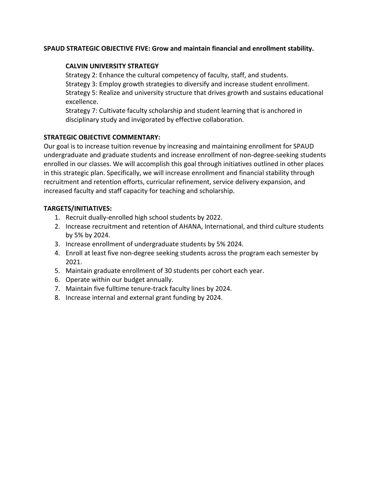#### **SPAUD STRATEGIC OBJECTIVE FIVE: Grow and maintain financial and enrollment stability.**

#### **CALVIN UNIVERSITY STRATEGY**

Strategy 2: Enhance the cultural competency of faculty, staff, and students. Strategy 3: Employ growth strategies to diversify and increase student enrollment. Strategy 5: Realize and university structure that drives growth and sustains educational excellence.

Strategy 7: Cultivate faculty scholarship and student learning that is anchored in disciplinary study and invigorated by effective collaboration.

#### **STRATEGIC OBJECTIVE COMMENTARY:**

Our goal is to increase tuition revenue by increasing and maintaining enrollment for SPAUD undergraduate and graduate students and increase enrollment of non-degree-seeking students enrolled in our classes. We will accomplish this goal through initiatives outlined in other places in this strategic plan. Specifically, we will increase enrollment and financial stability through recruitment and retention efforts, curricular refinement, service delivery expansion, and increased faculty and staff capacity for teaching and scholarship.

- 1. Recruit dually-enrolled high school students by 2022.
- 2. Increase recruitment and retention of AHANA, International, and third culture students by 5% by 2024.
- 3. Increase enrollment of undergraduate students by 5% 2024.
- 4. Enroll at least five non-degree seeking students across the program each semester by 2021.
- 5. Maintain graduate enrollment of 30 students per cohort each year.
- 6. Operate within our budget annually.
- 7. Maintain five fulltime tenure-track faculty lines by 2024.
- 8. Increase internal and external grant funding by 2024.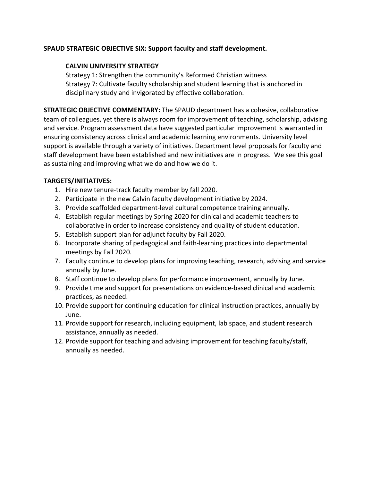#### **SPAUD STRATEGIC OBJECTIVE SIX: Support faculty and staff development.**

#### **CALVIN UNIVERSITY STRATEGY**

Strategy 1: Strengthen the community's Reformed Christian witness Strategy 7: Cultivate faculty scholarship and student learning that is anchored in disciplinary study and invigorated by effective collaboration.

**STRATEGIC OBJECTIVE COMMENTARY:** The SPAUD department has a cohesive, collaborative team of colleagues, yet there is always room for improvement of teaching, scholarship, advising and service. Program assessment data have suggested particular improvement is warranted in ensuring consistency across clinical and academic learning environments. University level support is available through a variety of initiatives. Department level proposals for faculty and staff development have been established and new initiatives are in progress. We see this goal as sustaining and improving what we do and how we do it.

- 1. Hire new tenure-track faculty member by fall 2020.
- 2. Participate in the new Calvin faculty development initiative by 2024.
- 3. Provide scaffolded department-level cultural competence training annually.
- 4. Establish regular meetings by Spring 2020 for clinical and academic teachers to collaborative in order to increase consistency and quality of student education.
- 5. Establish support plan for adjunct faculty by Fall 2020.
- 6. Incorporate sharing of pedagogical and faith-learning practices into departmental meetings by Fall 2020.
- 7. Faculty continue to develop plans for improving teaching, research, advising and service annually by June.
- 8. Staff continue to develop plans for performance improvement, annually by June.
- 9. Provide time and support for presentations on evidence-based clinical and academic practices, as needed.
- 10. Provide support for continuing education for clinical instruction practices, annually by June.
- 11. Provide support for research, including equipment, lab space, and student research assistance, annually as needed.
- 12. Provide support for teaching and advising improvement for teaching faculty/staff, annually as needed.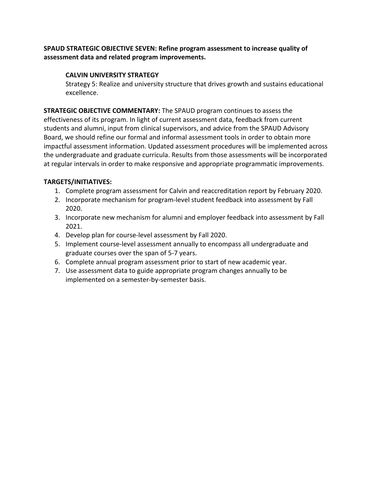## **SPAUD STRATEGIC OBJECTIVE SEVEN: Refine program assessment to increase quality of assessment data and related program improvements.**

## **CALVIN UNIVERSITY STRATEGY**

Strategy 5: Realize and university structure that drives growth and sustains educational excellence.

**STRATEGIC OBJECTIVE COMMENTARY:** The SPAUD program continues to assess the effectiveness of its program. In light of current assessment data, feedback from current students and alumni, input from clinical supervisors, and advice from the SPAUD Advisory Board, we should refine our formal and informal assessment tools in order to obtain more impactful assessment information. Updated assessment procedures will be implemented across the undergraduate and graduate curricula. Results from those assessments will be incorporated at regular intervals in order to make responsive and appropriate programmatic improvements.

- 1. Complete program assessment for Calvin and reaccreditation report by February 2020.
- 2. Incorporate mechanism for program-level student feedback into assessment by Fall 2020.
- 3. Incorporate new mechanism for alumni and employer feedback into assessment by Fall 2021.
- 4. Develop plan for course-level assessment by Fall 2020.
- 5. Implement course-level assessment annually to encompass all undergraduate and graduate courses over the span of 5-7 years.
- 6. Complete annual program assessment prior to start of new academic year.
- 7. Use assessment data to guide appropriate program changes annually to be implemented on a semester-by-semester basis.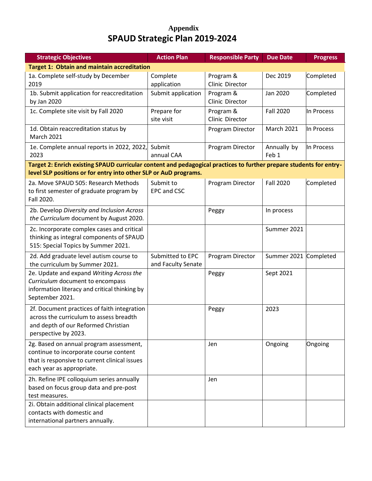# **Appendix SPAUD Strategic Plan 2019-2024**

| <b>Strategic Objectives</b>                                                                                                                                                             | <b>Action Plan</b>                     | <b>Responsible Party</b>     | <b>Due Date</b>       | <b>Progress</b> |
|-----------------------------------------------------------------------------------------------------------------------------------------------------------------------------------------|----------------------------------------|------------------------------|-----------------------|-----------------|
| <b>Target 1: Obtain and maintain accreditation</b>                                                                                                                                      |                                        |                              |                       |                 |
| 1a. Complete self-study by December<br>2019                                                                                                                                             | Complete<br>application                | Program &<br>Clinic Director | Dec 2019              | Completed       |
| 1b. Submit application for reaccreditation<br>by Jan 2020                                                                                                                               | Submit application                     | Program &<br>Clinic Director | Jan 2020              | Completed       |
| 1c. Complete site visit by Fall 2020                                                                                                                                                    | Prepare for<br>site visit              | Program &<br>Clinic Director | <b>Fall 2020</b>      | In Process      |
| 1d. Obtain reaccreditation status by<br><b>March 2021</b>                                                                                                                               |                                        | Program Director             | <b>March 2021</b>     | In Process      |
| 1e. Complete annual reports in 2022, 2022,<br>2023                                                                                                                                      | Submit<br>annual CAA                   | Program Director             | Annually by<br>Feb 1  | In Process      |
| Target 2: Enrich existing SPAUD curricular content and pedagogical practices to further prepare students for entry-<br>level SLP positions or for entry into other SLP or AuD programs. |                                        |                              |                       |                 |
| 2a. Move SPAUD 505: Research Methods<br>to first semester of graduate program by<br>Fall 2020.                                                                                          | Submit to<br>EPC and CSC               | Program Director             | <b>Fall 2020</b>      | Completed       |
| 2b. Develop Diversity and Inclusion Across<br>the Curriculum document by August 2020.                                                                                                   |                                        | Peggy                        | In process            |                 |
| 2c. Incorporate complex cases and critical<br>thinking as integral components of SPAUD<br>515: Special Topics by Summer 2021.                                                           |                                        |                              | Summer 2021           |                 |
| 2d. Add graduate level autism course to<br>the curriculum by Summer 2021.                                                                                                               | Submitted to EPC<br>and Faculty Senate | Program Director             | Summer 2021 Completed |                 |
| 2e. Update and expand Writing Across the<br>Curriculum document to encompass<br>information literacy and critical thinking by<br>September 2021.                                        |                                        | Peggy                        | Sept 2021             |                 |
| 2f. Document practices of faith integration<br>across the curriculum to assess breadth<br>and depth of our Reformed Christian<br>perspective by 2023.                                   |                                        | Peggy                        | 2023                  |                 |
| 2g. Based on annual program assessment,<br>continue to incorporate course content<br>that is responsive to current clinical issues<br>each year as appropriate.                         |                                        | Jen                          | Ongoing               | Ongoing         |
| 2h. Refine IPE colloquium series annually<br>based on focus group data and pre-post<br>test measures.                                                                                   |                                        | Jen                          |                       |                 |
| 2i. Obtain additional clinical placement<br>contacts with domestic and<br>international partners annually.                                                                              |                                        |                              |                       |                 |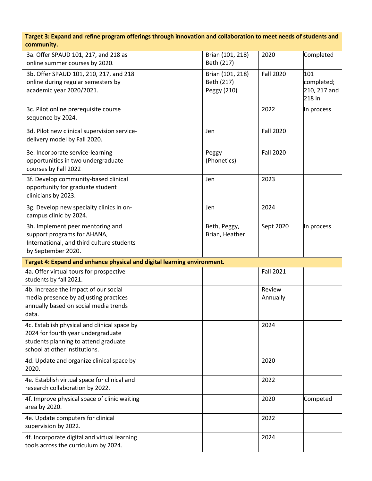| Target 3: Expand and refine program offerings through innovation and collaboration to meet needs of students and |
|------------------------------------------------------------------------------------------------------------------|
| community.                                                                                                       |

| 3a. Offer SPAUD 101, 217, and 218 as<br>online summer courses by 2020.                                                             |  | Brian (101, 218)<br>Beth (217)                | 2020               | Completed                                   |  |
|------------------------------------------------------------------------------------------------------------------------------------|--|-----------------------------------------------|--------------------|---------------------------------------------|--|
| 3b. Offer SPAUD 101, 210, 217, and 218<br>online during regular semesters by<br>academic year 2020/2021.                           |  | Brian (101, 218)<br>Beth (217)<br>Peggy (210) | <b>Fall 2020</b>   | 101<br>completed;<br>210, 217 and<br>218 in |  |
| 3c. Pilot online prerequisite course<br>sequence by 2024.                                                                          |  |                                               | 2022               | In process                                  |  |
| 3d. Pilot new clinical supervision service-<br>delivery model by Fall 2020.                                                        |  | Jen                                           | <b>Fall 2020</b>   |                                             |  |
| 3e. Incorporate service-learning<br>opportunities in two undergraduate<br>courses by Fall 2022                                     |  | Peggy<br>(Phonetics)                          | <b>Fall 2020</b>   |                                             |  |
| 3f. Develop community-based clinical<br>opportunity for graduate student<br>clinicians by 2023.                                    |  | Jen                                           | 2023               |                                             |  |
| 3g. Develop new specialty clinics in on-<br>campus clinic by 2024.                                                                 |  | Jen                                           | 2024               |                                             |  |
| 3h. Implement peer mentoring and<br>support programs for AHANA,<br>International, and third culture students<br>by September 2020. |  | Beth, Peggy,<br>Brian, Heather                | Sept 2020          | In process                                  |  |
| Target 4: Expand and enhance physical and digital learning environment.                                                            |  |                                               |                    |                                             |  |
| 4a. Offer virtual tours for prospective<br>students by fall 2021.                                                                  |  |                                               | <b>Fall 2021</b>   |                                             |  |
| 4b. Increase the impact of our social<br>media presence by adjusting practices<br>annually based on social media trends<br>data.   |  |                                               | Review<br>Annually |                                             |  |
| 4c. Establish physical and clinical space by                                                                                       |  |                                               |                    |                                             |  |
| 2024 for fourth year undergraduate<br>students planning to attend graduate<br>school at other institutions.                        |  |                                               | 2024               |                                             |  |
| 4d. Update and organize clinical space by<br>2020.                                                                                 |  |                                               | 2020               |                                             |  |
| 4e. Establish virtual space for clinical and<br>research collaboration by 2022.                                                    |  |                                               | 2022               |                                             |  |
| 4f. Improve physical space of clinic waiting<br>area by 2020.                                                                      |  |                                               | 2020               | Competed                                    |  |
| 4e. Update computers for clinical<br>supervision by 2022.                                                                          |  |                                               | 2022               |                                             |  |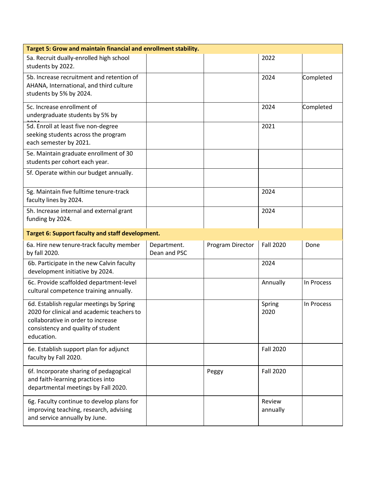| Target 5: Grow and maintain financial and enrollment stability.                                                                                                                  |                             |                  |                    |            |  |
|----------------------------------------------------------------------------------------------------------------------------------------------------------------------------------|-----------------------------|------------------|--------------------|------------|--|
| 5a. Recruit dually-enrolled high school<br>students by 2022.                                                                                                                     |                             |                  | 2022               |            |  |
| 5b. Increase recruitment and retention of<br>AHANA, International, and third culture<br>students by 5% by 2024.                                                                  |                             |                  | 2024               | Completed  |  |
| 5c. Increase enrollment of<br>undergraduate students by 5% by                                                                                                                    |                             |                  | 2024               | Completed  |  |
| 5d. Enroll at least five non-degree<br>seeking students across the program<br>each semester by 2021.                                                                             |                             |                  | 2021               |            |  |
| 5e. Maintain graduate enrollment of 30<br>students per cohort each year.                                                                                                         |                             |                  |                    |            |  |
| 5f. Operate within our budget annually.                                                                                                                                          |                             |                  |                    |            |  |
| 5g. Maintain five fulltime tenure-track<br>faculty lines by 2024.                                                                                                                |                             |                  | 2024               |            |  |
| 5h. Increase internal and external grant<br>funding by 2024.                                                                                                                     |                             |                  | 2024               |            |  |
| Target 6: Support faculty and staff development.                                                                                                                                 |                             |                  |                    |            |  |
| 6a. Hire new tenure-track faculty member<br>by fall 2020.                                                                                                                        | Department.<br>Dean and PSC | Program Director | <b>Fall 2020</b>   | Done       |  |
| 6b. Participate in the new Calvin faculty<br>development initiative by 2024.                                                                                                     |                             |                  | 2024               |            |  |
| 6c. Provide scaffolded department-level<br>cultural competence training annually.                                                                                                |                             |                  | Annually           | In Process |  |
| 6d. Establish regular meetings by Spring<br>2020 for clinical and academic teachers to<br>collaborative in order to increase<br>consistency and quality of student<br>education. |                             |                  | Spring<br>2020     | In Process |  |
| 6e. Establish support plan for adjunct<br>faculty by Fall 2020.                                                                                                                  |                             |                  | <b>Fall 2020</b>   |            |  |
| 6f. Incorporate sharing of pedagogical<br>and faith-learning practices into<br>departmental meetings by Fall 2020.                                                               |                             | Peggy            | <b>Fall 2020</b>   |            |  |
| 6g. Faculty continue to develop plans for<br>improving teaching, research, advising<br>and service annually by June.                                                             |                             |                  | Review<br>annually |            |  |